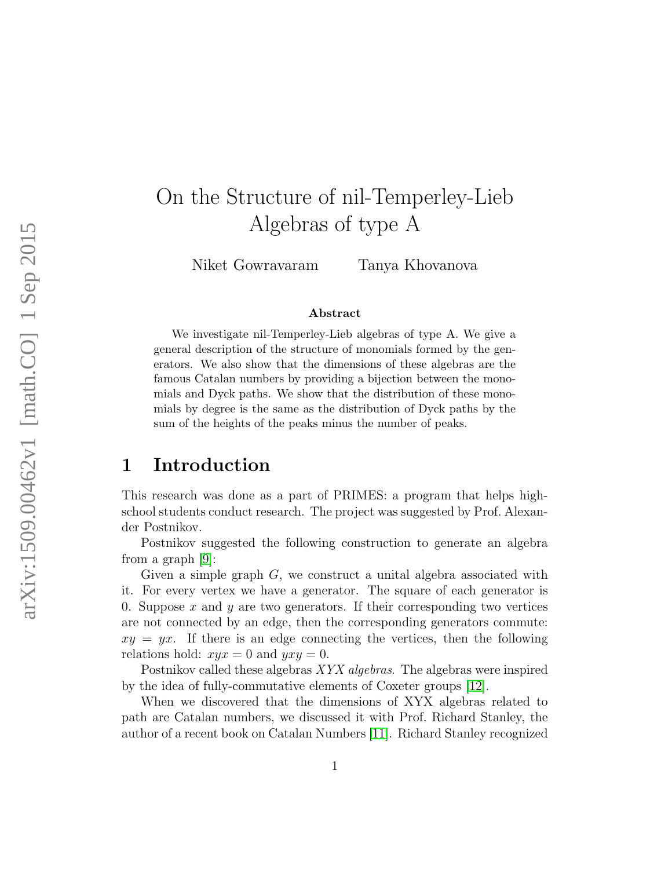# On the Structure of nil-Temperley-Lieb Algebras of type A

Niket Gowravaram Tanya Khovanova

#### Abstract

We investigate nil-Temperley-Lieb algebras of type A. We give a general description of the structure of monomials formed by the generators. We also show that the dimensions of these algebras are the famous Catalan numbers by providing a bijection between the monomials and Dyck paths. We show that the distribution of these monomials by degree is the same as the distribution of Dyck paths by the sum of the heights of the peaks minus the number of peaks.

### 1 Introduction

This research was done as a part of PRIMES: a program that helps highschool students conduct research. The project was suggested by Prof. Alexander Postnikov.

Postnikov suggested the following construction to generate an algebra from a graph [\[9\]](#page-8-0):

Given a simple graph  $G$ , we construct a unital algebra associated with it. For every vertex we have a generator. The square of each generator is 0. Suppose x and y are two generators. If their corresponding two vertices are not connected by an edge, then the corresponding generators commute:  $xy = yx$ . If there is an edge connecting the vertices, then the following relations hold:  $xyx = 0$  and  $yxy = 0$ .

Postnikov called these algebras XYX algebras. The algebras were inspired by the idea of fully-commutative elements of Coxeter groups [\[12\]](#page-8-1).

When we discovered that the dimensions of XYX algebras related to path are Catalan numbers, we discussed it with Prof. Richard Stanley, the author of a recent book on Catalan Numbers [\[11\]](#page-8-2). Richard Stanley recognized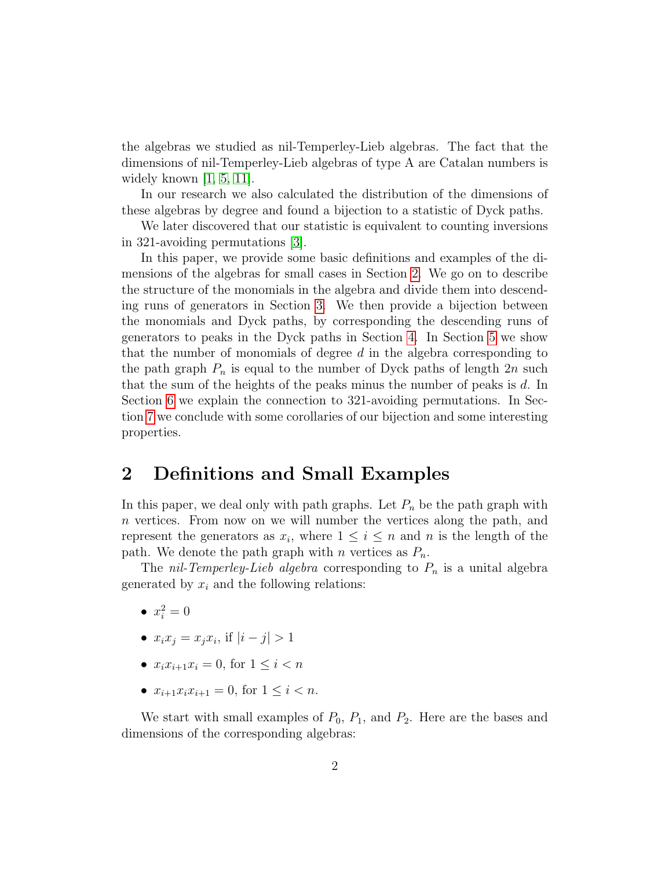the algebras we studied as nil-Temperley-Lieb algebras. The fact that the dimensions of nil-Temperley-Lieb algebras of type A are Catalan numbers is widely known  $\vert 1, 5, 11 \vert$  $\vert 1, 5, 11 \vert$  $\vert 1, 5, 11 \vert$ .

In our research we also calculated the distribution of the dimensions of these algebras by degree and found a bijection to a statistic of Dyck paths.

We later discovered that our statistic is equivalent to counting inversions in 321-avoiding permutations [\[3\]](#page-8-5).

In this paper, we provide some basic definitions and examples of the dimensions of the algebras for small cases in Section [2.](#page-1-0) We go on to describe the structure of the monomials in the algebra and divide them into descending runs of generators in Section [3.](#page-2-0) We then provide a bijection between the monomials and Dyck paths, by corresponding the descending runs of generators to peaks in the Dyck paths in Section [4.](#page-4-0) In Section [5](#page-5-0) we show that the number of monomials of degree  $d$  in the algebra corresponding to the path graph  $P_n$  is equal to the number of Dyck paths of length  $2n$  such that the sum of the heights of the peaks minus the number of peaks is d. In Section [6](#page-6-0) we explain the connection to 321-avoiding permutations. In Section [7](#page-6-1) we conclude with some corollaries of our bijection and some interesting properties.

### <span id="page-1-0"></span>2 Definitions and Small Examples

In this paper, we deal only with path graphs. Let  $P_n$  be the path graph with n vertices. From now on we will number the vertices along the path, and represent the generators as  $x_i$ , where  $1 \leq i \leq n$  and n is the length of the path. We denote the path graph with n vertices as  $P_n$ .

The *nil-Temperley-Lieb algebra* corresponding to  $P_n$  is a unital algebra generated by  $x_i$  and the following relations:

- $x_i^2 = 0$
- $x_i x_j = x_j x_i$ , if  $|i j| > 1$
- $x_i x_{i+1} x_i = 0$ , for  $1 \leq i < n$
- $x_{i+1}x_ix_{i+1} = 0$ , for  $1 \leq i < n$ .

We start with small examples of  $P_0$ ,  $P_1$ , and  $P_2$ . Here are the bases and dimensions of the corresponding algebras: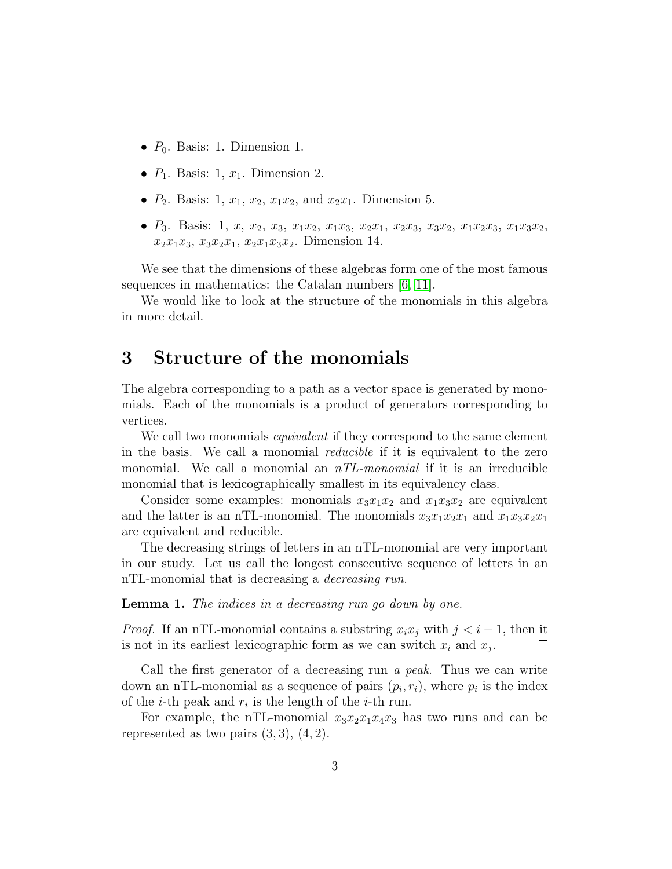- $P_0$ . Basis: 1. Dimension 1.
- $P_1$ . Basis: 1,  $x_1$ . Dimension 2.
- $P_2$ . Basis: 1,  $x_1, x_2, x_1x_2, x_1x_2, x_1x_2$ . Dimension 5.
- $P_3$ . Basis: 1, x, x<sub>2</sub>, x<sub>3</sub>, x<sub>1</sub>x<sub>2</sub>, x<sub>1</sub>x<sub>3</sub>, x<sub>2</sub>x<sub>1</sub>, x<sub>2</sub>x<sub>3</sub>, x<sub>3</sub>x<sub>2</sub>, x<sub>1</sub>x<sub>2</sub>x<sub>3</sub>, x<sub>1</sub>x<sub>3</sub>x<sub>2</sub>,  $x_2x_1x_3, x_3x_2x_1, x_2x_1x_3x_2$ . Dimension 14.

We see that the dimensions of these algebras form one of the most famous sequences in mathematics: the Catalan numbers [\[6,](#page-8-6) [11\]](#page-8-2).

We would like to look at the structure of the monomials in this algebra in more detail.

## <span id="page-2-0"></span>3 Structure of the monomials

The algebra corresponding to a path as a vector space is generated by monomials. Each of the monomials is a product of generators corresponding to vertices.

We call two monomials *equivalent* if they correspond to the same element in the basis. We call a monomial *reducible* if it is equivalent to the zero monomial. We call a monomial an  $nTL$ -monomial if it is an irreducible monomial that is lexicographically smallest in its equivalency class.

Consider some examples: monomials  $x_3x_1x_2$  and  $x_1x_3x_2$  are equivalent and the latter is an nTL-monomial. The monomials  $x_3x_1x_2x_1$  and  $x_1x_3x_2x_1$ are equivalent and reducible.

The decreasing strings of letters in an nTL-monomial are very important in our study. Let us call the longest consecutive sequence of letters in an nTL-monomial that is decreasing a *decreasing run*.

<span id="page-2-1"></span>Lemma 1. The indices in a decreasing run go down by one.

*Proof.* If an nTL-monomial contains a substring  $x_i x_j$  with  $j < i - 1$ , then it is not in its earliest lexicographic form as we can switch  $x_i$  and  $x_j$ .  $\Box$ 

Call the first generator of a decreasing run a peak. Thus we can write down an nTL-monomial as a sequence of pairs  $(p_i, r_i)$ , where  $p_i$  is the index of the *i*-th peak and  $r_i$  is the length of the *i*-th run.

For example, the nTL-monomial  $x_3x_2x_1x_4x_3$  has two runs and can be represented as two pairs  $(3,3)$ ,  $(4,2)$ .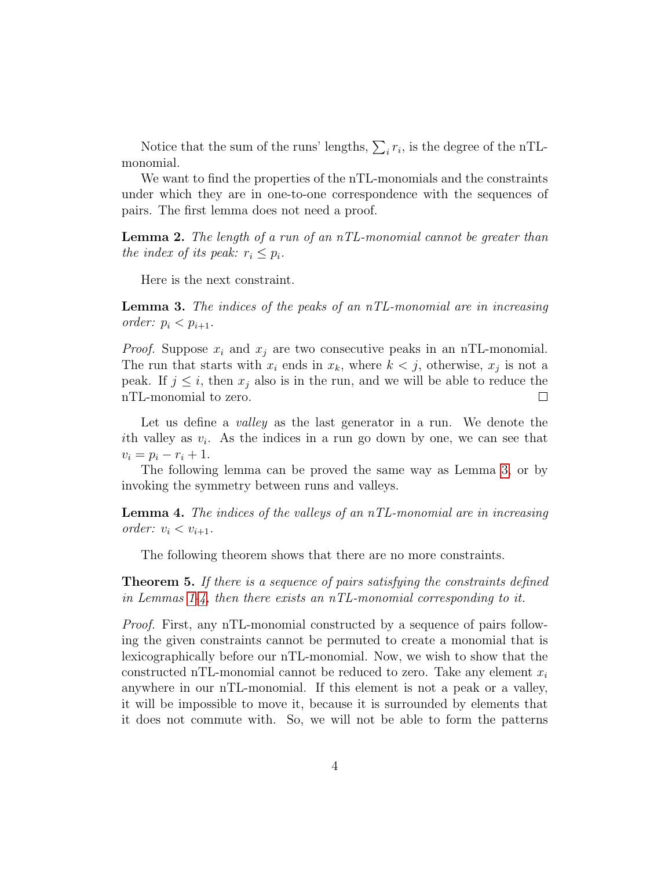Notice that the sum of the runs' lengths,  $\sum_i r_i$ , is the degree of the nTLmonomial.

We want to find the properties of the nTL-monomials and the constraints under which they are in one-to-one correspondence with the sequences of pairs. The first lemma does not need a proof.

**Lemma 2.** The length of a run of an  $nTL$ -monomial cannot be greater than the index of its peak:  $r_i \leq p_i$ .

Here is the next constraint.

<span id="page-3-0"></span>**Lemma 3.** The indices of the peaks of an  $nTL$ -monomial are in increasing order:  $p_i < p_{i+1}$ .

*Proof.* Suppose  $x_i$  and  $x_j$  are two consecutive peaks in an nTL-monomial. The run that starts with  $x_i$  ends in  $x_k$ , where  $k < j$ , otherwise,  $x_j$  is not a peak. If  $j \leq i$ , then  $x_j$  also is in the run, and we will be able to reduce the nTL-monomial to zero.  $\Box$ 

Let us define a valley as the last generator in a run. We denote the ith valley as  $v_i$ . As the indices in a run go down by one, we can see that  $v_i = p_i - r_i + 1.$ 

The following lemma can be proved the same way as Lemma [3,](#page-3-0) or by invoking the symmetry between runs and valleys.

<span id="page-3-1"></span>**Lemma 4.** The indices of the valleys of an  $nTL$ -monomial are in increasing order:  $v_i < v_{i+1}$ .

The following theorem shows that there are no more constraints.

**Theorem 5.** If there is a sequence of pairs satisfying the constraints defined in Lemmas [1-](#page-2-1)[4,](#page-3-1) then there exists an nTL-monomial corresponding to it.

Proof. First, any nTL-monomial constructed by a sequence of pairs following the given constraints cannot be permuted to create a monomial that is lexicographically before our nTL-monomial. Now, we wish to show that the constructed nTL-monomial cannot be reduced to zero. Take any element  $x_i$ anywhere in our nTL-monomial. If this element is not a peak or a valley, it will be impossible to move it, because it is surrounded by elements that it does not commute with. So, we will not be able to form the patterns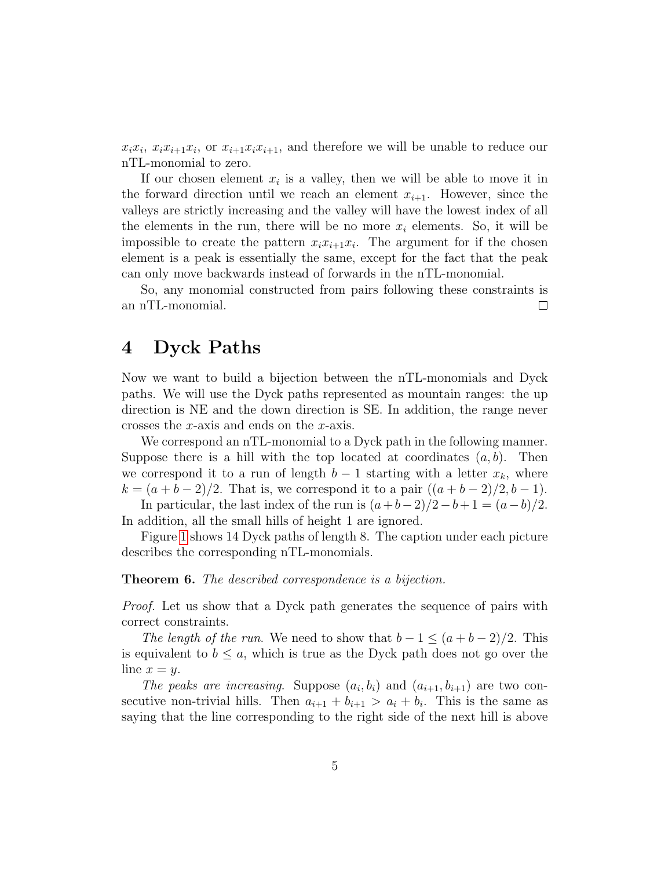$x_i x_i$ ,  $x_i x_{i+1} x_i$ , or  $x_{i+1} x_i x_{i+1}$ , and therefore we will be unable to reduce our nTL-monomial to zero.

If our chosen element  $x_i$  is a valley, then we will be able to move it in the forward direction until we reach an element  $x_{i+1}$ . However, since the valleys are strictly increasing and the valley will have the lowest index of all the elements in the run, there will be no more  $x_i$  elements. So, it will be impossible to create the pattern  $x_i x_{i+1} x_i$ . The argument for if the chosen element is a peak is essentially the same, except for the fact that the peak can only move backwards instead of forwards in the nTL-monomial.

So, any monomial constructed from pairs following these constraints is an nTL-monomial.  $\Box$ 

# <span id="page-4-0"></span>4 Dyck Paths

Now we want to build a bijection between the nTL-monomials and Dyck paths. We will use the Dyck paths represented as mountain ranges: the up direction is NE and the down direction is SE. In addition, the range never crosses the x-axis and ends on the x-axis.

We correspond an nTL-monomial to a Dyck path in the following manner. Suppose there is a hill with the top located at coordinates  $(a, b)$ . Then we correspond it to a run of length  $b-1$  starting with a letter  $x_k$ , where  $k = (a + b - 2)/2$ . That is, we correspond it to a pair  $((a + b - 2)/2, b - 1)$ .

In particular, the last index of the run is  $(a+b-2)/2-b+1 = (a-b)/2$ . In addition, all the small hills of height 1 are ignored.

Figure [1](#page-5-1) shows 14 Dyck paths of length 8. The caption under each picture describes the corresponding nTL-monomials.

#### Theorem 6. The described correspondence is a bijection.

Proof. Let us show that a Dyck path generates the sequence of pairs with correct constraints.

The length of the run. We need to show that  $b-1 \leq (a+b-2)/2$ . This is equivalent to  $b \leq a$ , which is true as the Dyck path does not go over the line  $x = y$ .

The peaks are increasing. Suppose  $(a_i, b_i)$  and  $(a_{i+1}, b_{i+1})$  are two consecutive non-trivial hills. Then  $a_{i+1} + b_{i+1} > a_i + b_i$ . This is the same as saying that the line corresponding to the right side of the next hill is above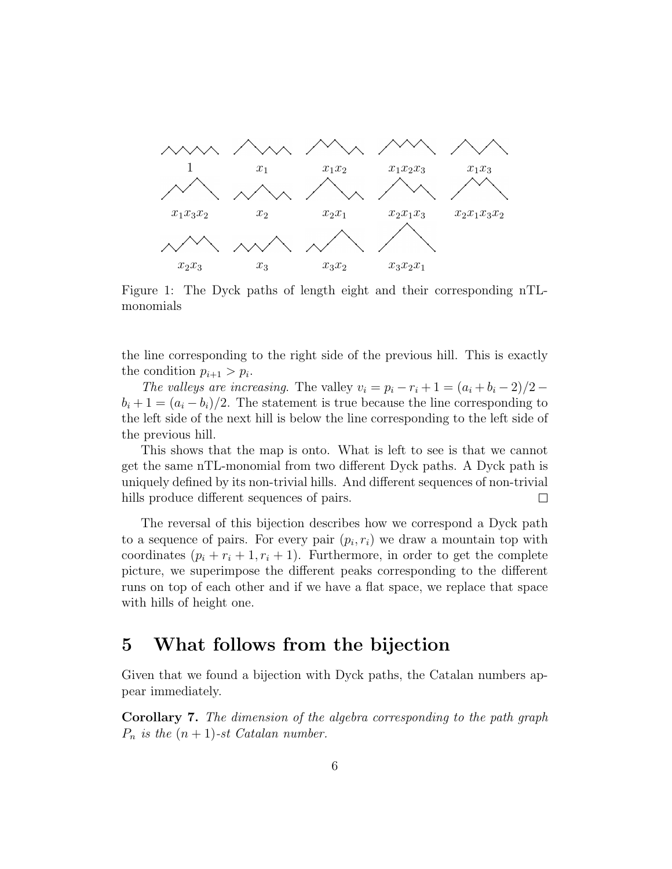

<span id="page-5-1"></span>Figure 1: The Dyck paths of length eight and their corresponding nTLmonomials

the line corresponding to the right side of the previous hill. This is exactly the condition  $p_{i+1} > p_i$ .

The valleys are increasing. The valley  $v_i = p_i - r_i + 1 = (a_i + b_i - 2)/2 - 1$  $b_i + 1 = (a_i - b_i)/2$ . The statement is true because the line corresponding to the left side of the next hill is below the line corresponding to the left side of the previous hill.

This shows that the map is onto. What is left to see is that we cannot get the same nTL-monomial from two different Dyck paths. A Dyck path is uniquely defined by its non-trivial hills. And different sequences of non-trivial hills produce different sequences of pairs.  $\Box$ 

The reversal of this bijection describes how we correspond a Dyck path to a sequence of pairs. For every pair  $(p_i, r_i)$  we draw a mountain top with coordinates  $(p_i + r_i + 1, r_i + 1)$ . Furthermore, in order to get the complete picture, we superimpose the different peaks corresponding to the different runs on top of each other and if we have a flat space, we replace that space with hills of height one.

## <span id="page-5-0"></span>5 What follows from the bijection

Given that we found a bijection with Dyck paths, the Catalan numbers appear immediately.

Corollary 7. The dimension of the algebra corresponding to the path graph  $P_n$  is the  $(n + 1)$ -st Catalan number.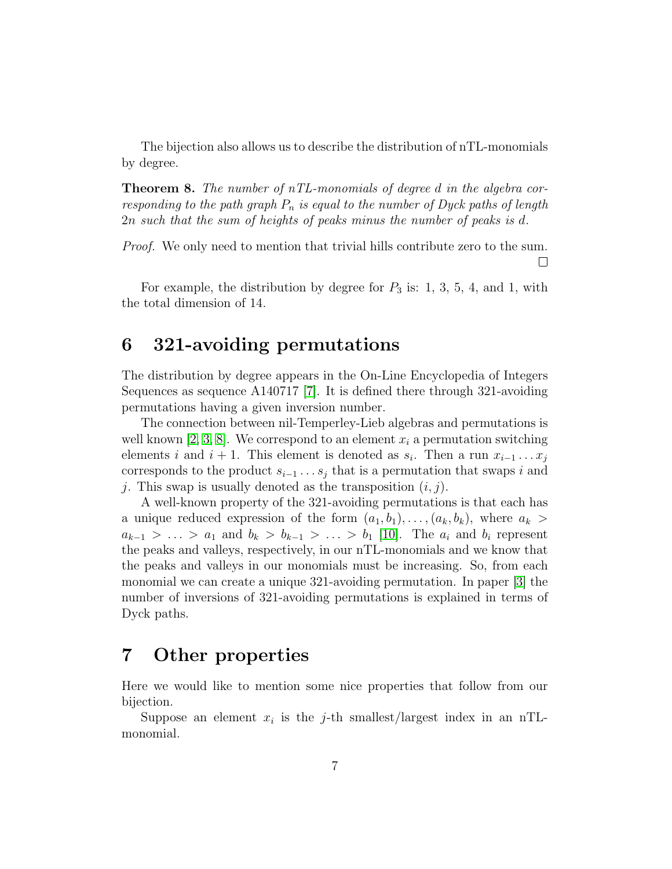The bijection also allows us to describe the distribution of nTL-monomials by degree.

**Theorem 8.** The number of  $nTL$ -monomials of degree d in the algebra corresponding to the path graph  $P_n$  is equal to the number of Dyck paths of length 2n such that the sum of heights of peaks minus the number of peaks is d.

*Proof.* We only need to mention that trivial hills contribute zero to the sum.  $\Box$ 

For example, the distribution by degree for  $P_3$  is: 1, 3, 5, 4, and 1, with the total dimension of 14.

# <span id="page-6-0"></span>6 321-avoiding permutations

The distribution by degree appears in the On-Line Encyclopedia of Integers Sequences as sequence A140717 [\[7\]](#page-8-7). It is defined there through 321-avoiding permutations having a given inversion number.

The connection between nil-Temperley-Lieb algebras and permutations is well known [\[2,](#page-8-8) [3,](#page-8-5) [8\]](#page-8-9). We correspond to an element  $x_i$  a permutation switching elements i and  $i + 1$ . This element is denoted as  $s_i$ . Then a run  $x_{i-1} \ldots x_j$ corresponds to the product  $s_{i-1} \ldots s_j$  that is a permutation that swaps i and j. This swap is usually denoted as the transposition  $(i, j)$ .

A well-known property of the 321-avoiding permutations is that each has a unique reduced expression of the form  $(a_1, b_1), \ldots, (a_k, b_k)$ , where  $a_k >$  $a_{k-1} > \ldots > a_1$  and  $b_k > b_{k-1} > \ldots > b_1$  [\[10\]](#page-8-10). The  $a_i$  and  $b_i$  represent the peaks and valleys, respectively, in our nTL-monomials and we know that the peaks and valleys in our monomials must be increasing. So, from each monomial we can create a unique 321-avoiding permutation. In paper [\[3\]](#page-8-5) the number of inversions of 321-avoiding permutations is explained in terms of Dyck paths.

# <span id="page-6-1"></span>7 Other properties

Here we would like to mention some nice properties that follow from our bijection.

Suppose an element  $x_i$  is the j-th smallest/largest index in an nTLmonomial.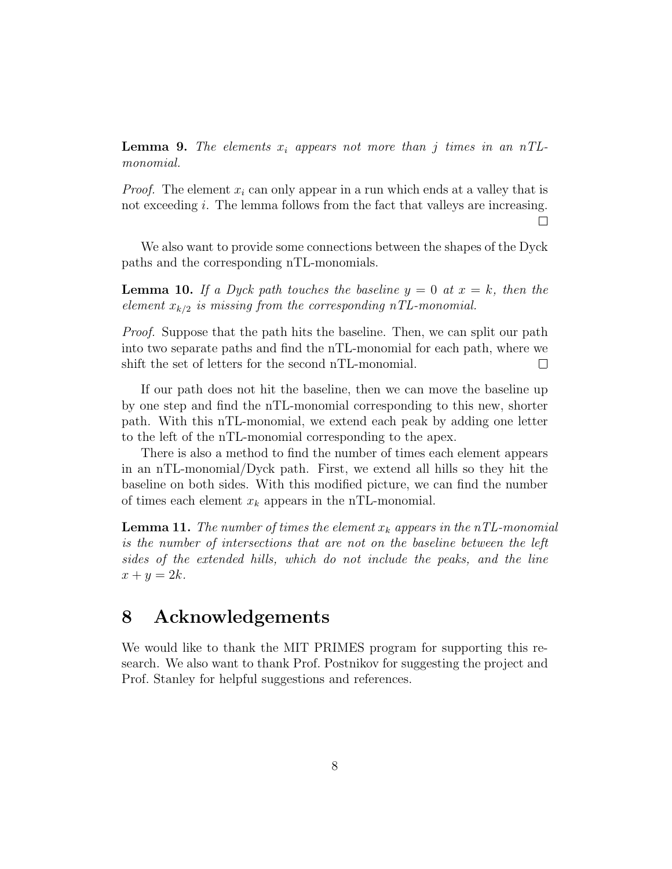**Lemma 9.** The elements  $x_i$  appears not more than j times in an nTLmonomial.

*Proof.* The element  $x_i$  can only appear in a run which ends at a valley that is not exceeding i. The lemma follows from the fact that valleys are increasing.  $\Box$ 

We also want to provide some connections between the shapes of the Dyck paths and the corresponding nTL-monomials.

**Lemma 10.** If a Dyck path touches the baseline  $y = 0$  at  $x = k$ , then the element  $x_{k/2}$  is missing from the corresponding nTL-monomial.

Proof. Suppose that the path hits the baseline. Then, we can split our path into two separate paths and find the nTL-monomial for each path, where we shift the set of letters for the second nTL-monomial.  $\Box$ 

If our path does not hit the baseline, then we can move the baseline up by one step and find the nTL-monomial corresponding to this new, shorter path. With this nTL-monomial, we extend each peak by adding one letter to the left of the nTL-monomial corresponding to the apex.

There is also a method to find the number of times each element appears in an nTL-monomial/Dyck path. First, we extend all hills so they hit the baseline on both sides. With this modified picture, we can find the number of times each element  $x_k$  appears in the nTL-monomial.

**Lemma 11.** The number of times the element  $x_k$  appears in the nTL-monomial is the number of intersections that are not on the baseline between the left sides of the extended hills, which do not include the peaks, and the line  $x + y = 2k$ .

### 8 Acknowledgements

We would like to thank the MIT PRIMES program for supporting this research. We also want to thank Prof. Postnikov for suggesting the project and Prof. Stanley for helpful suggestions and references.